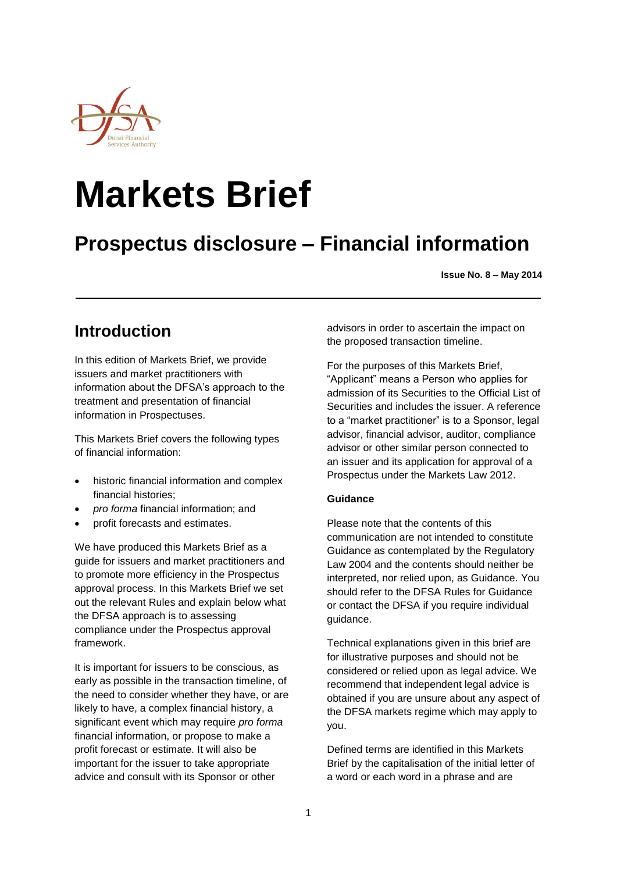

# **Markets Brief**

# **Prospectus disclosure – Financial information**

**Issue No. 8 – May 2014**

## **Introduction**

In this edition of Markets Brief, we provide issuers and market practitioners with information about the DFSA's approach to the treatment and presentation of financial information in Prospectuses.

This Markets Brief covers the following types of financial information:

- historic financial information and complex financial histories;
- *pro forma* financial information; and
- profit forecasts and estimates.

We have produced this Markets Brief as a guide for issuers and market practitioners and to promote more efficiency in the Prospectus approval process. In this Markets Brief we set out the relevant Rules and explain below what the DFSA approach is to assessing compliance under the Prospectus approval framework.

It is important for issuers to be conscious, as early as possible in the transaction timeline, of the need to consider whether they have, or are likely to have, a complex financial history, a significant event which may require *pro forma* financial information, or propose to make a profit forecast or estimate. It will also be important for the issuer to take appropriate advice and consult with its Sponsor or other

advisors in order to ascertain the impact on the proposed transaction timeline.

For the purposes of this Markets Brief, "Applicant" means a Person who applies for admission of its Securities to the Official List of Securities and includes the issuer. A reference to a "market practitioner" is to a Sponsor, legal advisor, financial advisor, auditor, compliance advisor or other similar person connected to an issuer and its application for approval of a Prospectus under the Markets Law 2012.

### **Guidance**

Please note that the contents of this communication are not intended to constitute Guidance as contemplated by the Regulatory Law 2004 and the contents should neither be interpreted, nor relied upon, as Guidance. You should refer to the DFSA Rules for Guidance or contact the DFSA if you require individual guidance.

Technical explanations given in this brief are for illustrative purposes and should not be considered or relied upon as legal advice. We recommend that independent legal advice is obtained if you are unsure about any aspect of the DFSA markets regime which may apply to you.

Defined terms are identified in this Markets Brief by the capitalisation of the initial letter of a word or each word in a phrase and are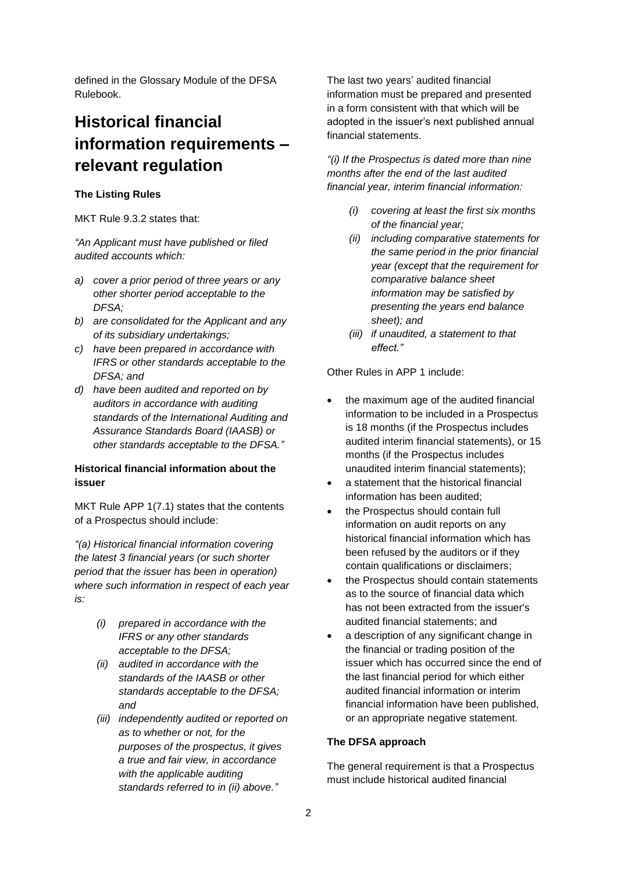defined in the Glossary Module of the DFSA Rulebook.

# **Historical financial information requirements – relevant regulation**

### **The Listing Rules**

MKT Rule 9.3.2 states that:

*"An Applicant must have published or filed audited accounts which:*

- *a) cover a prior period of three years or any other shorter period acceptable to the DFSA;*
- *b) are consolidated for the Applicant and any of its subsidiary undertakings;*
- *c) have been prepared in accordance with IFRS or other standards acceptable to the DFSA; and*
- *d) have been audited and reported on by auditors in accordance with auditing standards of the International Auditing and Assurance Standards Board (IAASB) or other standards acceptable to the DFSA."*

### **Historical financial information about the issuer**

MKT Rule APP 1(7.1) states that the contents of a Prospectus should include:

*"(a) Historical financial information covering the latest 3 financial years (or such shorter period that the issuer has been in operation) where such information in respect of each year is:*

- *(i) prepared in accordance with the IFRS or any other standards acceptable to the DFSA;*
- *(ii) audited in accordance with the standards of the IAASB or other standards acceptable to the DFSA; and*
- *(iii) independently audited or reported on as to whether or not, for the purposes of the prospectus, it gives a true and fair view, in accordance with the applicable auditing standards referred to in (ii) above."*

The last two years' audited financial information must be prepared and presented in a form consistent with that which will be adopted in the issuer's next published annual financial statements.

*"(i) If the Prospectus is dated more than nine months after the end of the last audited financial year, interim financial information:*

- *(i) covering at least the first six months of the financial year;*
- *(ii) including comparative statements for the same period in the prior financial year (except that the requirement for comparative balance sheet information may be satisfied by presenting the years end balance sheet); and*
- *(iii) if unaudited, a statement to that effect."*

Other Rules in APP 1 include:

- the maximum age of the audited financial information to be included in a Prospectus is 18 months (if the Prospectus includes audited interim financial statements), or 15 months (if the Prospectus includes unaudited interim financial statements);
- a statement that the historical financial information has been audited;
- the Prospectus should contain full information on audit reports on any historical financial information which has been refused by the auditors or if they contain qualifications or disclaimers;
- the Prospectus should contain statements as to the source of financial data which has not been extracted from the issuer's audited financial statements; and
- a description of any significant change in the financial or trading position of the issuer which has occurred since the end of the last financial period for which either audited financial information or interim financial information have been published, or an appropriate negative statement.

### **The DFSA approach**

The general requirement is that a Prospectus must include historical audited financial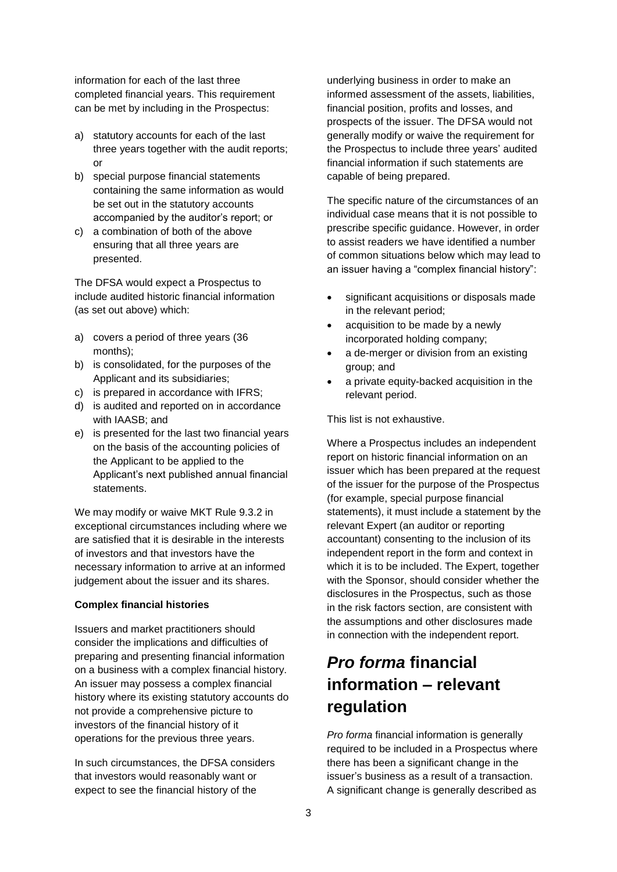information for each of the last three completed financial years. This requirement can be met by including in the Prospectus:

- a) statutory accounts for each of the last three years together with the audit reports; or
- b) special purpose financial statements containing the same information as would be set out in the statutory accounts accompanied by the auditor's report; or
- c) a combination of both of the above ensuring that all three years are presented.

The DFSA would expect a Prospectus to include audited historic financial information (as set out above) which:

- a) covers a period of three years (36 months);
- b) is consolidated, for the purposes of the Applicant and its subsidiaries;
- c) is prepared in accordance with IFRS;
- d) is audited and reported on in accordance with IAASB; and
- e) is presented for the last two financial years on the basis of the accounting policies of the Applicant to be applied to the Applicant's next published annual financial statements.

We may modify or waive MKT Rule 9.3.2 in exceptional circumstances including where we are satisfied that it is desirable in the interests of investors and that investors have the necessary information to arrive at an informed judgement about the issuer and its shares.

### **Complex financial histories**

Issuers and market practitioners should consider the implications and difficulties of preparing and presenting financial information on a business with a complex financial history. An issuer may possess a complex financial history where its existing statutory accounts do not provide a comprehensive picture to investors of the financial history of it operations for the previous three years.

In such circumstances, the DFSA considers that investors would reasonably want or expect to see the financial history of the

underlying business in order to make an informed assessment of the assets, liabilities, financial position, profits and losses, and prospects of the issuer. The DFSA would not generally modify or waive the requirement for the Prospectus to include three years' audited financial information if such statements are capable of being prepared.

The specific nature of the circumstances of an individual case means that it is not possible to prescribe specific guidance. However, in order to assist readers we have identified a number of common situations below which may lead to an issuer having a "complex financial history":

- significant acquisitions or disposals made in the relevant period;
- acquisition to be made by a newly incorporated holding company;
- a de-merger or division from an existing group; and
- a private equity-backed acquisition in the relevant period.

This list is not exhaustive.

Where a Prospectus includes an independent report on historic financial information on an issuer which has been prepared at the request of the issuer for the purpose of the Prospectus (for example, special purpose financial statements), it must include a statement by the relevant Expert (an auditor or reporting accountant) consenting to the inclusion of its independent report in the form and context in which it is to be included. The Expert, together with the Sponsor, should consider whether the disclosures in the Prospectus, such as those in the risk factors section, are consistent with the assumptions and other disclosures made in connection with the independent report.

# *Pro forma* **financial information – relevant regulation**

*Pro forma* financial information is generally required to be included in a Prospectus where there has been a significant change in the issuer's business as a result of a transaction. A significant change is generally described as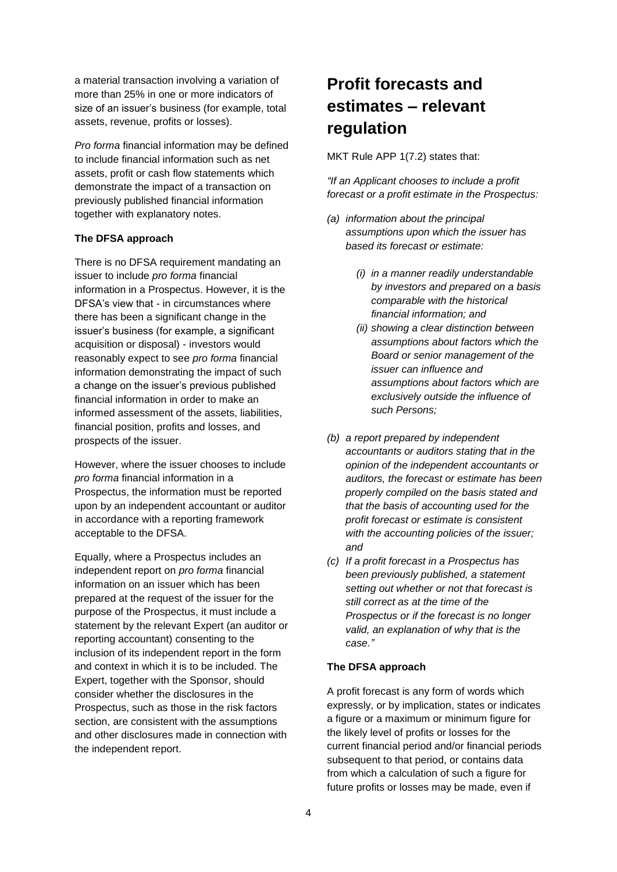a material transaction involving a variation of more than 25% in one or more indicators of size of an issuer's business (for example, total assets, revenue, profits or losses).

*Pro forma* financial information may be defined to include financial information such as net assets, profit or cash flow statements which demonstrate the impact of a transaction on previously published financial information together with explanatory notes.

#### **The DFSA approach**

There is no DFSA requirement mandating an issuer to include *pro forma* financial information in a Prospectus. However, it is the DFSA's view that - in circumstances where there has been a significant change in the issuer's business (for example, a significant acquisition or disposal) - investors would reasonably expect to see *pro forma* financial information demonstrating the impact of such a change on the issuer's previous published financial information in order to make an informed assessment of the assets, liabilities, financial position, profits and losses, and prospects of the issuer.

However, where the issuer chooses to include *pro forma* financial information in a Prospectus, the information must be reported upon by an independent accountant or auditor in accordance with a reporting framework acceptable to the DFSA.

Equally, where a Prospectus includes an independent report on *pro forma* financial information on an issuer which has been prepared at the request of the issuer for the purpose of the Prospectus, it must include a statement by the relevant Expert (an auditor or reporting accountant) consenting to the inclusion of its independent report in the form and context in which it is to be included. The Expert, together with the Sponsor, should consider whether the disclosures in the Prospectus, such as those in the risk factors section, are consistent with the assumptions and other disclosures made in connection with the independent report.

# **Profit forecasts and estimates – relevant regulation**

MKT Rule APP 1(7.2) states that:

*"If an Applicant chooses to include a profit forecast or a profit estimate in the Prospectus:*

- *(a) information about the principal assumptions upon which the issuer has based its forecast or estimate:*
	- *(i) in a manner readily understandable by investors and prepared on a basis comparable with the historical financial information; and*
	- *(ii) showing a clear distinction between assumptions about factors which the Board or senior management of the issuer can influence and assumptions about factors which are exclusively outside the influence of such Persons;*
- *(b) a report prepared by independent accountants or auditors stating that in the opinion of the independent accountants or auditors, the forecast or estimate has been properly compiled on the basis stated and that the basis of accounting used for the profit forecast or estimate is consistent with the accounting policies of the issuer; and*
- *(c) If a profit forecast in a Prospectus has been previously published, a statement setting out whether or not that forecast is still correct as at the time of the Prospectus or if the forecast is no longer valid, an explanation of why that is the case."*

#### **The DFSA approach**

A profit forecast is any form of words which expressly, or by implication, states or indicates a figure or a maximum or minimum figure for the likely level of profits or losses for the current financial period and/or financial periods subsequent to that period, or contains data from which a calculation of such a figure for future profits or losses may be made, even if